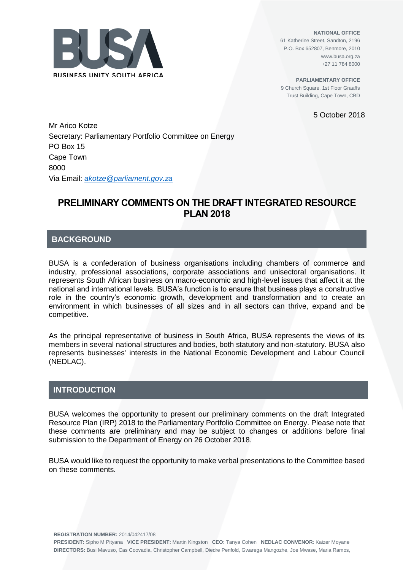

**NATIONAL OFFICE** 61 Katherine Street, Sandton, 2196 P.O. Box 652807, Benmore, 2010 www.busa.org.za +27 11 784 8000

**PARLIAMENTARY OFFICE** 9 Church Square, 1st Floor Graaffs Trust Building, Cape Town, CBD

5 October 2018

Mr Arico Kotze Secretary: Parliamentary Portfolio Committee on Energy PO Box 15 Cape Town 8000 Via Email: *[akotze@parliament.gov.za](mailto:akotze@parliament.gov.za)*

# **PRELIMINARY COMMENTS ON THE DRAFT INTEGRATED RESOURCE PLAN 2018**

# **BACKGROUND**

BUSA is a confederation of business organisations including chambers of commerce and industry, professional associations, corporate associations and unisectoral organisations. It represents South African business on macro-economic and high-level issues that affect it at the national and international levels. BUSA's function is to ensure that business plays a constructive role in the country's economic growth, development and transformation and to create an environment in which businesses of all sizes and in all sectors can thrive, expand and be competitive.

As the principal representative of business in South Africa, BUSA represents the views of its members in several national structures and bodies, both statutory and non-statutory. BUSA also represents businesses' interests in the National Economic Development and Labour Council (NEDLAC).

## **INTRODUCTION**

BUSA welcomes the opportunity to present our preliminary comments on the draft Integrated Resource Plan (IRP) 2018 to the Parliamentary Portfolio Committee on Energy. Please note that these comments are preliminary and may be subject to changes or additions before final submission to the Department of Energy on 26 October 2018.

BUSA would like to request the opportunity to make verbal presentations to the Committee based on these comments.

**REGISTRATION NUMBER:** 2014/042417/08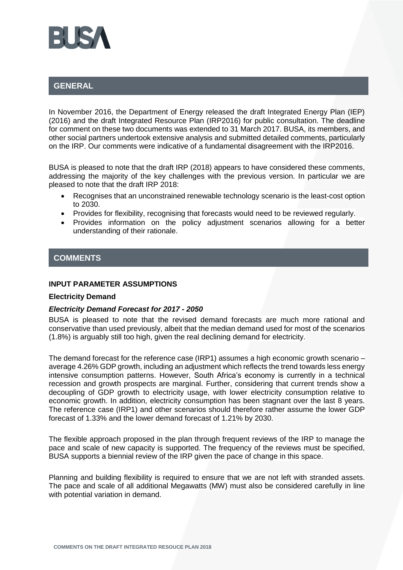

# **GENERAL**

In November 2016, the Department of Energy released the draft Integrated Energy Plan (IEP) (2016) and the draft Integrated Resource Plan (IRP2016) for public consultation. The deadline for comment on these two documents was extended to 31 March 2017. BUSA, its members, and other social partners undertook extensive analysis and submitted detailed comments, particularly on the IRP. Our comments were indicative of a fundamental disagreement with the IRP2016.

BUSA is pleased to note that the draft IRP (2018) appears to have considered these comments, addressing the majority of the key challenges with the previous version. In particular we are pleased to note that the draft IRP 2018:

- Recognises that an unconstrained renewable technology scenario is the least-cost option to 2030.
- Provides for flexibility, recognising that forecasts would need to be reviewed regularly.
- Provides information on the policy adjustment scenarios allowing for a better understanding of their rationale.

## **COMMENTS**

### **INPUT PARAMETER ASSUMPTIONS**

### **Electricity Demand**

### *Electricity Demand Forecast for 2017 - 2050*

BUSA is pleased to note that the revised demand forecasts are much more rational and conservative than used previously, albeit that the median demand used for most of the scenarios (1.8%) is arguably still too high, given the real declining demand for electricity.

The demand forecast for the reference case (IRP1) assumes a high economic growth scenario – average 4.26% GDP growth, including an adjustment which reflects the trend towards less energy intensive consumption patterns. However, South Africa's economy is currently in a technical recession and growth prospects are marginal. Further, considering that current trends show a decoupling of GDP growth to electricity usage, with lower electricity consumption relative to economic growth. In addition, electricity consumption has been stagnant over the last 8 years. The reference case (IRP1) and other scenarios should therefore rather assume the lower GDP forecast of 1.33% and the lower demand forecast of 1.21% by 2030.

The flexible approach proposed in the plan through frequent reviews of the IRP to manage the pace and scale of new capacity is supported. The frequency of the reviews must be specified, BUSA supports a biennial review of the IRP given the pace of change in this space.

Planning and building flexibility is required to ensure that we are not left with stranded assets. The pace and scale of all additional Megawatts (MW) must also be considered carefully in line with potential variation in demand.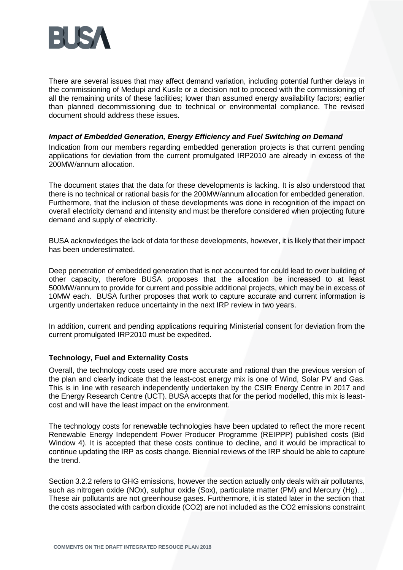

There are several issues that may affect demand variation, including potential further delays in the commissioning of Medupi and Kusile or a decision not to proceed with the commissioning of all the remaining units of these facilities; lower than assumed energy availability factors; earlier than planned decommissioning due to technical or environmental compliance. The revised document should address these issues.

## *Impact of Embedded Generation, Energy Efficiency and Fuel Switching on Demand*

Indication from our members regarding embedded generation projects is that current pending applications for deviation from the current promulgated IRP2010 are already in excess of the 200MW/annum allocation.

The document states that the data for these developments is lacking. It is also understood that there is no technical or rational basis for the 200MW/annum allocation for embedded generation. Furthermore, that the inclusion of these developments was done in recognition of the impact on overall electricity demand and intensity and must be therefore considered when projecting future demand and supply of electricity.

BUSA acknowledges the lack of data for these developments, however, it is likely that their impact has been underestimated.

Deep penetration of embedded generation that is not accounted for could lead to over building of other capacity, therefore BUSA proposes that the allocation be increased to at least 500MW/annum to provide for current and possible additional projects, which may be in excess of 10MW each. BUSA further proposes that work to capture accurate and current information is urgently undertaken reduce uncertainty in the next IRP review in two years.

In addition, current and pending applications requiring Ministerial consent for deviation from the current promulgated IRP2010 must be expedited.

## **Technology, Fuel and Externality Costs**

Overall, the technology costs used are more accurate and rational than the previous version of the plan and clearly indicate that the least-cost energy mix is one of Wind, Solar PV and Gas. This is in line with research independently undertaken by the CSIR Energy Centre in 2017 and the Energy Research Centre (UCT). BUSA accepts that for the period modelled, this mix is leastcost and will have the least impact on the environment.

The technology costs for renewable technologies have been updated to reflect the more recent Renewable Energy Independent Power Producer Programme (REIPPP) published costs (Bid Window 4). It is accepted that these costs continue to decline, and it would be impractical to continue updating the IRP as costs change. Biennial reviews of the IRP should be able to capture the trend.

Section 3.2.2 refers to GHG emissions, however the section actually only deals with air pollutants, such as nitrogen oxide (NOx), sulphur oxide (Sox), particulate matter (PM) and Mercury (Hg)... These air pollutants are not greenhouse gases. Furthermore, it is stated later in the section that the costs associated with carbon dioxide (CO2) are not included as the CO2 emissions constraint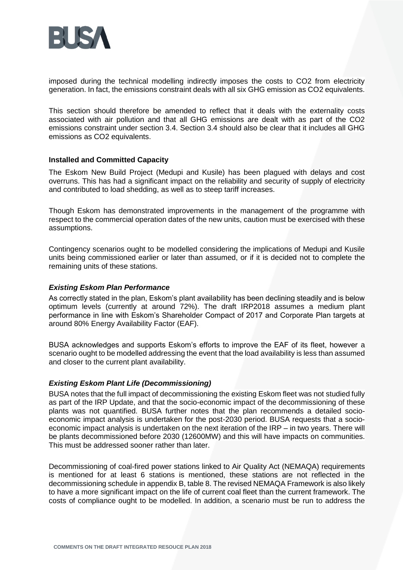

imposed during the technical modelling indirectly imposes the costs to CO2 from electricity generation. In fact, the emissions constraint deals with all six GHG emission as CO2 equivalents.

This section should therefore be amended to reflect that it deals with the externality costs associated with air pollution and that all GHG emissions are dealt with as part of the CO2 emissions constraint under section 3.4. Section 3.4 should also be clear that it includes all GHG emissions as CO2 equivalents.

## **Installed and Committed Capacity**

The Eskom New Build Project (Medupi and Kusile) has been plagued with delays and cost overruns. This has had a significant impact on the reliability and security of supply of electricity and contributed to load shedding, as well as to steep tariff increases.

Though Eskom has demonstrated improvements in the management of the programme with respect to the commercial operation dates of the new units, caution must be exercised with these assumptions.

Contingency scenarios ought to be modelled considering the implications of Medupi and Kusile units being commissioned earlier or later than assumed, or if it is decided not to complete the remaining units of these stations.

### *Existing Eskom Plan Performance*

As correctly stated in the plan, Eskom's plant availability has been declining steadily and is below optimum levels (currently at around 72%). The draft IRP2018 assumes a medium plant performance in line with Eskom's Shareholder Compact of 2017 and Corporate Plan targets at around 80% Energy Availability Factor (EAF).

BUSA acknowledges and supports Eskom's efforts to improve the EAF of its fleet, however a scenario ought to be modelled addressing the event that the load availability is less than assumed and closer to the current plant availability.

### *Existing Eskom Plant Life (Decommissioning)*

BUSA notes that the full impact of decommissioning the existing Eskom fleet was not studied fully as part of the IRP Update, and that the socio-economic impact of the decommissioning of these plants was not quantified. BUSA further notes that the plan recommends a detailed socioeconomic impact analysis is undertaken for the post-2030 period. BUSA requests that a socioeconomic impact analysis is undertaken on the next iteration of the IRP – in two years. There will be plants decommissioned before 2030 (12600MW) and this will have impacts on communities. This must be addressed sooner rather than later.

Decommissioning of coal-fired power stations linked to Air Quality Act (NEMAQA) requirements is mentioned for at least 6 stations is mentioned, these stations are not reflected in the decommissioning schedule in appendix B, table 8. The revised NEMAQA Framework is also likely to have a more significant impact on the life of current coal fleet than the current framework. The costs of compliance ought to be modelled. In addition, a scenario must be run to address the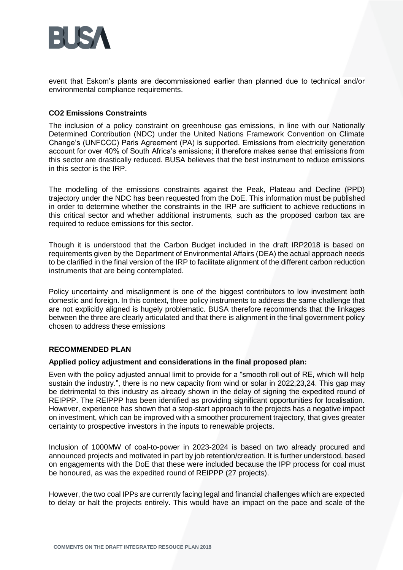

event that Eskom's plants are decommissioned earlier than planned due to technical and/or environmental compliance requirements.

## **CO2 Emissions Constraints**

The inclusion of a policy constraint on greenhouse gas emissions, in line with our Nationally Determined Contribution (NDC) under the United Nations Framework Convention on Climate Change's (UNFCCC) Paris Agreement (PA) is supported. Emissions from electricity generation account for over 40% of South Africa's emissions; it therefore makes sense that emissions from this sector are drastically reduced. BUSA believes that the best instrument to reduce emissions in this sector is the IRP.

The modelling of the emissions constraints against the Peak, Plateau and Decline (PPD) trajectory under the NDC has been requested from the DoE. This information must be published in order to determine whether the constraints in the IRP are sufficient to achieve reductions in this critical sector and whether additional instruments, such as the proposed carbon tax are required to reduce emissions for this sector.

Though it is understood that the Carbon Budget included in the draft IRP2018 is based on requirements given by the Department of Environmental Affairs (DEA) the actual approach needs to be clarified in the final version of the IRP to facilitate alignment of the different carbon reduction instruments that are being contemplated.

Policy uncertainty and misalignment is one of the biggest contributors to low investment both domestic and foreign. In this context, three policy instruments to address the same challenge that are not explicitly aligned is hugely problematic. BUSA therefore recommends that the linkages between the three are clearly articulated and that there is alignment in the final government policy chosen to address these emissions

### **RECOMMENDED PLAN**

## **Applied policy adjustment and considerations in the final proposed plan:**

Even with the policy adjusted annual limit to provide for a "smooth roll out of RE, which will help sustain the industry.", there is no new capacity from wind or solar in 2022,23,24. This gap may be detrimental to this industry as already shown in the delay of signing the expedited round of REIPPP. The REIPPP has been identified as providing significant opportunities for localisation. However, experience has shown that a stop-start approach to the projects has a negative impact on investment, which can be improved with a smoother procurement trajectory, that gives greater certainty to prospective investors in the inputs to renewable projects.

Inclusion of 1000MW of coal-to-power in 2023-2024 is based on two already procured and announced projects and motivated in part by job retention/creation. It is further understood, based on engagements with the DoE that these were included because the IPP process for coal must be honoured, as was the expedited round of REIPPP (27 projects).

However, the two coal IPPs are currently facing legal and financial challenges which are expected to delay or halt the projects entirely. This would have an impact on the pace and scale of the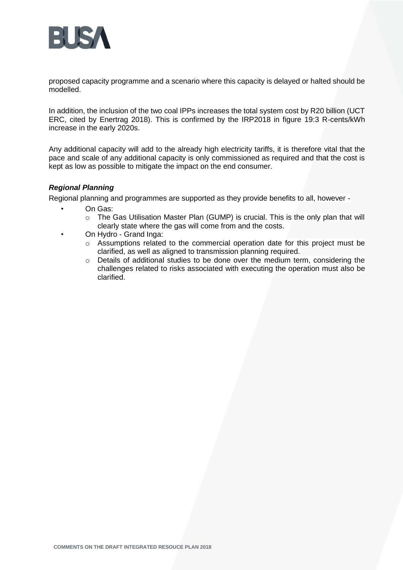

proposed capacity programme and a scenario where this capacity is delayed or halted should be modelled.

In addition, the inclusion of the two coal IPPs increases the total system cost by R20 billion (UCT ERC, cited by Enertrag 2018). This is confirmed by the IRP2018 in figure 19:3 R-cents/kWh increase in the early 2020s.

Any additional capacity will add to the already high electricity tariffs, it is therefore vital that the pace and scale of any additional capacity is only commissioned as required and that the cost is kept as low as possible to mitigate the impact on the end consumer.

## *Regional Planning*

Regional planning and programmes are supported as they provide benefits to all, however -

- On Gas:
	- o The Gas Utilisation Master Plan (GUMP) is crucial. This is the only plan that will clearly state where the gas will come from and the costs.
- On Hydro Grand Inga:
	- $\circ$  Assumptions related to the commercial operation date for this project must be clarified, as well as aligned to transmission planning required.
	- o Details of additional studies to be done over the medium term, considering the challenges related to risks associated with executing the operation must also be clarified.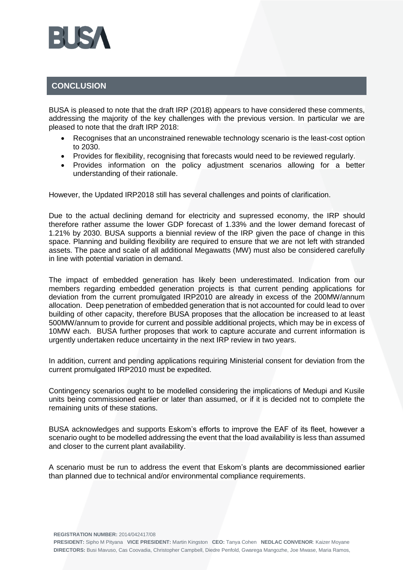

## **CONCLUSION**

BUSA is pleased to note that the draft IRP (2018) appears to have considered these comments, addressing the majority of the key challenges with the previous version. In particular we are pleased to note that the draft IRP 2018:

- Recognises that an unconstrained renewable technology scenario is the least-cost option to 2030.
- Provides for flexibility, recognising that forecasts would need to be reviewed regularly.
- Provides information on the policy adjustment scenarios allowing for a better understanding of their rationale.

However, the Updated IRP2018 still has several challenges and points of clarification.

Due to the actual declining demand for electricity and supressed economy, the IRP should therefore rather assume the lower GDP forecast of 1.33% and the lower demand forecast of 1.21% by 2030. BUSA supports a biennial review of the IRP given the pace of change in this space. Planning and building flexibility are required to ensure that we are not left with stranded assets. The pace and scale of all additional Megawatts (MW) must also be considered carefully in line with potential variation in demand.

The impact of embedded generation has likely been underestimated. Indication from our members regarding embedded generation projects is that current pending applications for deviation from the current promulgated IRP2010 are already in excess of the 200MW/annum allocation. Deep penetration of embedded generation that is not accounted for could lead to over building of other capacity, therefore BUSA proposes that the allocation be increased to at least 500MW/annum to provide for current and possible additional projects, which may be in excess of 10MW each. BUSA further proposes that work to capture accurate and current information is urgently undertaken reduce uncertainty in the next IRP review in two years.

In addition, current and pending applications requiring Ministerial consent for deviation from the current promulgated IRP2010 must be expedited.

Contingency scenarios ought to be modelled considering the implications of Medupi and Kusile units being commissioned earlier or later than assumed, or if it is decided not to complete the remaining units of these stations.

BUSA acknowledges and supports Eskom's efforts to improve the EAF of its fleet, however a scenario ought to be modelled addressing the event that the load availability is less than assumed and closer to the current plant availability.

A scenario must be run to address the event that Eskom's plants are decommissioned earlier than planned due to technical and/or environmental compliance requirements.

**REGISTRATION NUMBER:** 2014/042417/08